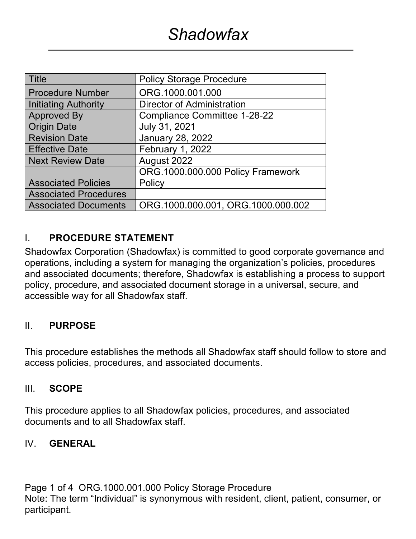| Title                        | <b>Policy Storage Procedure</b>     |
|------------------------------|-------------------------------------|
| <b>Procedure Number</b>      | ORG.1000.001.000                    |
| Initiating Authority         | Director of Administration          |
| <b>Approved By</b>           | <b>Compliance Committee 1-28-22</b> |
| <b>Origin Date</b>           | July 31, 2021                       |
| <b>Revision Date</b>         | <b>January 28, 2022</b>             |
| <b>Effective Date</b>        | February 1, 2022                    |
| <b>Next Review Date</b>      | August 2022                         |
|                              | ORG.1000.000.000 Policy Framework   |
| <b>Associated Policies</b>   | Policy                              |
| <b>Associated Procedures</b> |                                     |
| <b>Associated Documents</b>  | ORG.1000.000.001, ORG.1000.000.002  |

#### I. **PROCEDURE STATEMENT**

Shadowfax Corporation (Shadowfax) is committed to good corporate governance and operations, including a system for managing the organization's policies, procedures and associated documents; therefore, Shadowfax is establishing a process to support policy, procedure, and associated document storage in a universal, secure, and accessible way for all Shadowfax staff.

#### II. **PURPOSE**

This procedure establishes the methods all Shadowfax staff should follow to store and access policies, procedures, and associated documents.

#### III. **SCOPE**

This procedure applies to all Shadowfax policies, procedures, and associated documents and to all Shadowfax staff.

#### IV. **GENERAL**

Page 1 of 4 ORG.1000.001.000 Policy Storage Procedure Note: The term "Individual" is synonymous with resident, client, patient, consumer, or participant.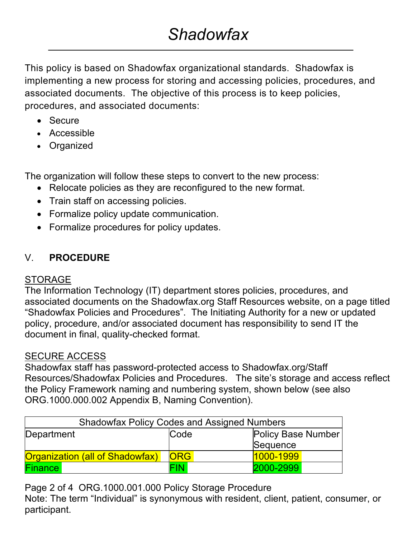This policy is based on Shadowfax organizational standards. Shadowfax is implementing a new process for storing and accessing policies, procedures, and associated documents. The objective of this process is to keep policies, procedures, and associated documents:

- Secure
- Accessible
- Organized

The organization will follow these steps to convert to the new process:

- Relocate policies as they are reconfigured to the new format.
- Train staff on accessing policies.
- Formalize policy update communication.
- Formalize procedures for policy updates.

# V. **PROCEDURE**

## STORAGE

The Information Technology (IT) department stores policies, procedures, and associated documents on the Shadowfax.org Staff Resources website, on a page titled "Shadowfax Policies and Procedures". The Initiating Authority for a new or updated policy, procedure, and/or associated document has responsibility to send IT the document in final, quality-checked format.

## SECURE ACCESS

Shadowfax staff has password-protected access to Shadowfax.org/Staff Resources/Shadowfax Policies and Procedures. The site's storage and access reflect the Policy Framework naming and numbering system, shown below (see also ORG.1000.000.002 Appendix B, Naming Convention).

| <b>Shadowfax Policy Codes and Assigned Numbers</b> |            |                    |  |  |
|----------------------------------------------------|------------|--------------------|--|--|
| Department                                         | Code       | Policy Base Number |  |  |
|                                                    |            | Sequence           |  |  |
| <b>Organization (all of Shadowfax)</b>             | <b>ORG</b> | 1000-1999          |  |  |
| <b>Finance</b>                                     | FIN.       | 2000-2999          |  |  |

Page 2 of 4 ORG.1000.001.000 Policy Storage Procedure

Note: The term "Individual" is synonymous with resident, client, patient, consumer, or participant.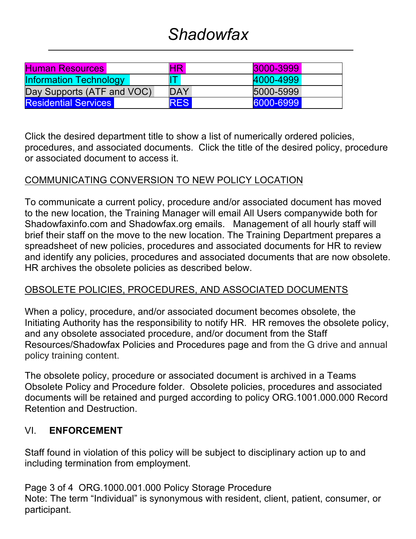# *Shadowfax*

| <b>Human Resources</b>        | <b>HR</b>   | 3000-3999 |
|-------------------------------|-------------|-----------|
| <b>Information Technology</b> | $\mathbf T$ | 4000-4999 |
| Day Supports (ATF and VOC)    | <b>DAY</b>  | 5000-5999 |
| <b>Residential Services</b>   | <b>RES</b>  | 6000-6999 |

Click the desired department title to show a list of numerically ordered policies, procedures, and associated documents. Click the title of the desired policy, procedure or associated document to access it.

## COMMUNICATING CONVERSION TO NEW POLICY LOCATION

To communicate a current policy, procedure and/or associated document has moved to the new location, the Training Manager will email All Users companywide both for Shadowfaxinfo.com and Shadowfax.org emails. Management of all hourly staff will brief their staff on the move to the new location. The Training Department prepares a spreadsheet of new policies, procedures and associated documents for HR to review and identify any policies, procedures and associated documents that are now obsolete. HR archives the obsolete policies as described below.

## OBSOLETE POLICIES, PROCEDURES, AND ASSOCIATED DOCUMENTS

When a policy, procedure, and/or associated document becomes obsolete, the Initiating Authority has the responsibility to notify HR. HR removes the obsolete policy, and any obsolete associated procedure, and/or document from the Staff Resources/Shadowfax Policies and Procedures page and from the G drive and annual policy training content.

The obsolete policy, procedure or associated document is archived in a Teams Obsolete Policy and Procedure folder. Obsolete policies, procedures and associated documents will be retained and purged according to policy ORG.1001.000.000 Record Retention and Destruction.

#### VI. **ENFORCEMENT**

Staff found in violation of this policy will be subject to disciplinary action up to and including termination from employment.

Page 3 of 4 ORG.1000.001.000 Policy Storage Procedure Note: The term "Individual" is synonymous with resident, client, patient, consumer, or participant.